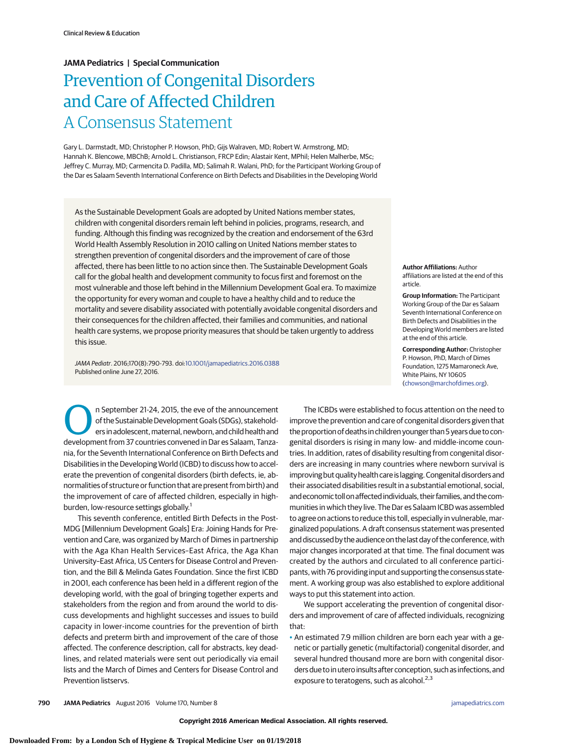## **JAMA Pediatrics | Special Communication**

# Prevention of Congenital Disorders and Care of Affected Children A Consensus Statement

Gary L. Darmstadt, MD; Christopher P. Howson, PhD; Gijs Walraven, MD; Robert W. Armstrong, MD; Hannah K. Blencowe, MBChB; Arnold L. Christianson, FRCP Edin; Alastair Kent, MPhil; Helen Malherbe, MSc; Jeffrey C. Murray, MD; Carmencita D. Padilla, MD; Salimah R. Walani, PhD; for the Participant Working Group of the Dar es Salaam Seventh International Conference on Birth Defects and Disabilities in the Developing World

As the Sustainable Development Goals are adopted by United Nations member states, children with congenital disorders remain left behind in policies, programs, research, and funding. Although this finding was recognized by the creation and endorsement of the 63rd World Health Assembly Resolution in 2010 calling on United Nations member states to strengthen prevention of congenital disorders and the improvement of care of those affected, there has been little to no action since then. The Sustainable Development Goals call for the global health and development community to focus first and foremost on the most vulnerable and those left behind in the Millennium Development Goal era. To maximize the opportunity for every woman and couple to have a healthy child and to reduce the mortality and severe disability associated with potentially avoidable congenital disorders and their consequences for the children affected, their families and communities, and national health care systems, we propose priority measures that should be taken urgently to address this issue.

JAMA Pediatr. 2016;170(8):790-793. doi[:10.1001/jamapediatrics.2016.0388](http://jama.jamanetwork.com/article.aspx?doi=10.1001/jamapediatrics.2016.0388&utm_campaign=articlePDF%26utm_medium=articlePDFlink%26utm_source=articlePDF%26utm_content=jamapediatrics.2016.0388) Published online June 27, 2016.

n September 21-24, 2015, the eve of the announcement of the Sustainable Development Goals (SDGs), stakeholders in adolescent, maternal, newborn, and child health and development from 37 countries convened in Dar es Salaam, Tanzania, for the Seventh International Conference on Birth Defects and Disabilities in the Developing World (ICBD) to discuss how to accelerate the prevention of congenital disorders (birth defects, ie, abnormalities of structure or function that are present from birth) and the improvement of care of affected children, especially in highburden, low-resource settings globally.<sup>1</sup>

This seventh conference, entitled Birth Defects in the Post-MDG [Millennium Development Goals] Era: Joining Hands for Prevention and Care, was organized by March of Dimes in partnership with the Aga Khan Health Services–East Africa, the Aga Khan University–East Africa, US Centers for Disease Control and Prevention, and the Bill & Melinda Gates Foundation. Since the first ICBD in 2001, each conference has been held in a different region of the developing world, with the goal of bringing together experts and stakeholders from the region and from around the world to discuss developments and highlight successes and issues to build capacity in lower-income countries for the prevention of birth defects and preterm birth and improvement of the care of those affected. The conference description, call for abstracts, key deadlines, and related materials were sent out periodically via email lists and the March of Dimes and Centers for Disease Control and Prevention listservs.

**Author Affiliations:** Author affiliations are listed at the end of this article.

**Group Information:** The Participant Working Group of the Dar es Salaam Seventh International Conference on Birth Defects and Disabilities in the Developing World members are listed at the end of this article.

**Corresponding Author:** Christopher P. Howson, PhD, March of Dimes Foundation, 1275 Mamaroneck Ave, White Plains, NY 10605 [\(chowson@marchofdimes.org\)](mailto:chowson@marchofdimes.org).

The ICBDs were established to focus attention on the need to improve the prevention and care of congenital disorders given that the proportion of deaths in children younger than 5 years due to congenital disorders is rising in many low- and middle-income countries. In addition, rates of disability resulting from congenital disorders are increasing in many countries where newborn survival is improving but quality health care is lagging. Congenital disorders and their associated disabilities result in a substantial emotional, social, and economic toll on affected individuals, their families, and the communities in which they live. The Dar es Salaam ICBD was assembled to agree on actions to reduce this toll, especially in vulnerable, marginalized populations. A draft consensus statement was presented and discussed by the audience on the last day of the conference, with major changes incorporated at that time. The final document was created by the authors and circulated to all conference participants, with 76 providing input and supporting the consensus statement. A working group was also established to explore additional ways to put this statement into action.

We support accelerating the prevention of congenital disorders and improvement of care of affected individuals, recognizing that:

• An estimated 7.9 million children are born each year with a genetic or partially genetic (multifactorial) congenital disorder, and several hundred thousand more are born with congenital disorders due to in utero insults after conception, such as infections, and exposure to teratogens, such as alcohol.<sup>2,3</sup>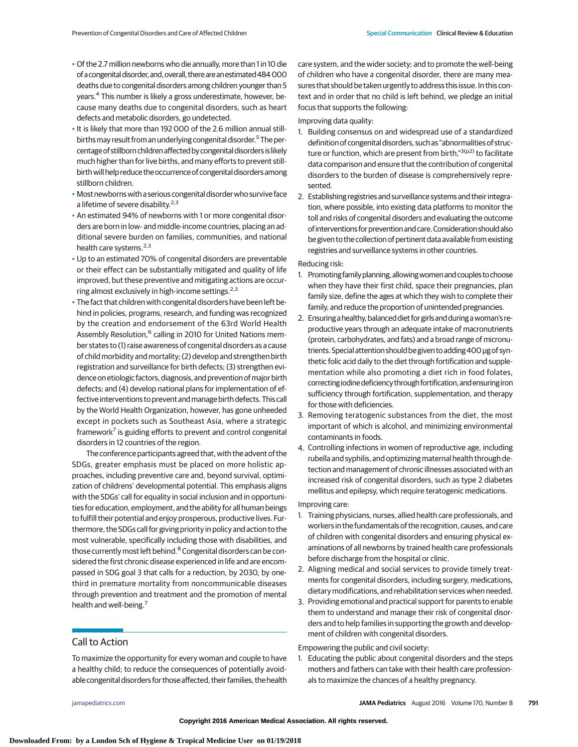- Of the 2.7 million newborns who die annually, more than 1 in 10 die ofacongenitaldisorder,and,overall, thereareanestimated484 000 deaths due to congenital disorders among children younger than 5 years.4 This number is likely a gross underestimate, however, because many deaths due to congenital disorders, such as heart defects and metabolic disorders, go undetected.
- It is likely that more than 192 000 of the 2.6 million annual stillbirths may result from an underlying congenital disorder.<sup>5</sup> The percentage of stillborn children affected by congenital disorders is likely much higher than for live births, and many efforts to prevent stillbirth will help reduce the occurrence of congenital disorders among stillborn children.
- Most newborns with a serious congenital disorder who survive face a lifetime of severe disability.<sup>2,3</sup>
- An estimated 94% of newborns with 1 or more congenital disorders are born in low- and middle-income countries, placing an additional severe burden on families, communities, and national health care systems.<sup>2,3</sup>
- Up to an estimated 70% of congenital disorders are preventable or their effect can be substantially mitigated and quality of life improved, but these preventive and mitigating actions are occurring almost exclusively in high-income settings. $^{2,3}$
- The fact that children with congenital disorders have been left behind in policies, programs, research, and funding was recognized by the creation and endorsement of the 63rd World Health Assembly Resolution,<sup>6</sup> calling in 2010 for United Nations member states to (1) raise awareness of congenital disorders as a cause of child morbidity and mortality; (2) develop and strengthen birth registration and surveillance for birth defects; (3) strengthen evidence on etiologic factors, diagnosis, and prevention of major birth defects; and (4) develop national plans for implementation of effective interventions to prevent and manage birth defects. This call by the World Health Organization, however, has gone unheeded except in pockets such as Southeast Asia, where a strategic framework<sup>7</sup> is guiding efforts to prevent and control congenital disorders in 12 countries of the region.

The conference participants agreed that, with the advent of the SDGs, greater emphasis must be placed on more holistic approaches, including preventive care and, beyond survival, optimization of childrens' developmental potential. This emphasis aligns with the SDGs' call for equality in social inclusion and in opportunities for education, employment, and the ability for all human beings to fulfill their potential and enjoy prosperous, productive lives. Furthermore, the SDGs call for giving priority in policy and action to the most vulnerable, specifically including those with disabilities, and those currently most left behind.<sup>8</sup> Congenital disorders can be considered the first chronic disease experienced in life and are encompassed in SDG goal 3 that calls for a reduction, by 2030, by onethird in premature mortality from noncommunicable diseases through prevention and treatment and the promotion of mental health and well-being.<sup>7</sup>

# Call to Action

To maximize the opportunity for every woman and couple to have a healthy child; to reduce the consequences of potentially avoidable congenital disorders for those affected, their families, the health

care system, and the wider society; and to promote the well-being of children who have a congenital disorder, there are many measures that should be taken urgently to address this issue. In this context and in order that no child is left behind, we pledge an initial focus that supports the following:

## Improving data quality:

- 1. Building consensus on and widespread use of a standardized definition of congenital disorders, such as "abnormalities of structure or function, which are present from birth,"<sup>3(p2)</sup> to facilitate data comparison and ensure that the contribution of congenital disorders to the burden of disease is comprehensively represented.
- 2. Establishing registries and surveillance systems and their integration, where possible, into existing data platforms to monitor the toll and risks of congenital disorders and evaluating the outcome of interventions for prevention and care. Consideration should also be given to the collection of pertinent data available from existing registries and surveillance systems in other countries.

## Reducing risk:

- 1. Promoting family planning, allowing women and couples to choose when they have their first child, space their pregnancies, plan family size, define the ages at which they wish to complete their family, and reduce the proportion of unintended pregnancies.
- 2. Ensuring a healthy, balanced diet for girls and during a woman's reproductive years through an adequate intake of macronutrients (protein, carbohydrates, and fats) and a broad range of micronutrients.Special attention should be given to adding 400 μg of synthetic folic acid daily to the diet through fortification and supplementation while also promoting a diet rich in food folates, correcting iodine deficiency through fortification, and ensuring iron sufficiency through fortification, supplementation, and therapy for those with deficiencies.
- 3. Removing teratogenic substances from the diet, the most important of which is alcohol, and minimizing environmental contaminants in foods.
- 4. Controlling infections in women of reproductive age, including rubella and syphilis, and optimizing maternal health through detection and management of chronic illnesses associated with an increased risk of congenital disorders, such as type 2 diabetes mellitus and epilepsy, which require teratogenic medications.

#### Improving care:

- 1. Training physicians, nurses, allied health care professionals, and workers in the fundamentals of the recognition, causes, and care of children with congenital disorders and ensuring physical examinations of all newborns by trained health care professionals before discharge from the hospital or clinic.
- 2. Aligning medical and social services to provide timely treatments for congenital disorders, including surgery, medications, dietary modifications, and rehabilitation services when needed.
- 3. Providing emotional and practical support for parents to enable them to understand and manage their risk of congenital disorders and to help families in supporting the growth and development of children with congenital disorders.

Empowering the public and civil society:

1. Educating the public about congenital disorders and the steps mothers and fathers can take with their health care professionals to maximize the chances of a healthy pregnancy.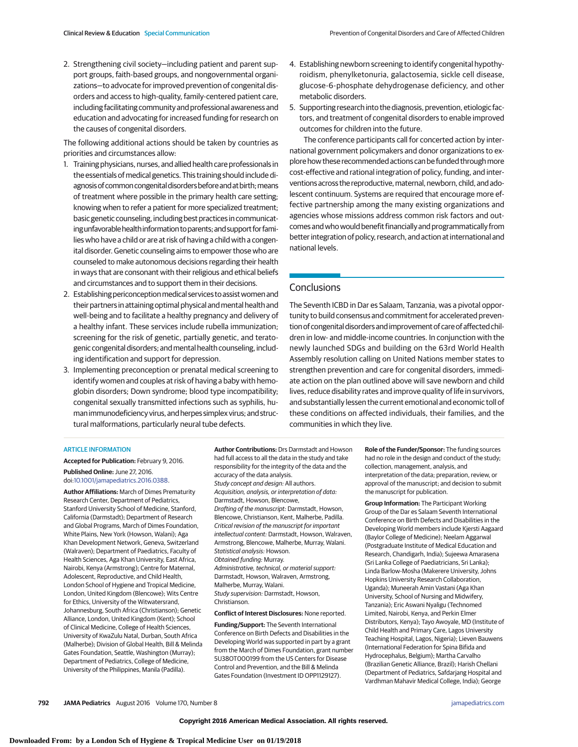2. Strengthening civil society—including patient and parent support groups, faith-based groups, and nongovernmental organizations—to advocate for improved prevention of congenital disorders and access to high-quality, family-centered patient care, including facilitating community and professional awareness and education and advocating for increased funding for research on the causes of congenital disorders.

The following additional actions should be taken by countries as priorities and circumstances allow:

- 1. Training physicians, nurses, and allied health care professionals in the essentials of medical genetics. This training should include diagnosis of common congenital disorders before and at birth; means of treatment where possible in the primary health care setting; knowing when to refer a patient for more specialized treatment; basic genetic counseling, including best practices in communicating unfavorable health information to parents; and support for families who have a child or are at risk of having a child with a congenital disorder. Genetic counseling aims to empower those who are counseled to make autonomous decisions regarding their health in ways that are consonant with their religious and ethical beliefs and circumstances and to support them in their decisions.
- 2. Establishing periconception medical services to assist women and their partners in attaining optimal physical and mental health and well-being and to facilitate a healthy pregnancy and delivery of a healthy infant. These services include rubella immunization; screening for the risk of genetic, partially genetic, and teratogenic congenital disorders; andmental health counseling, including identification and support for depression.
- 3. Implementing preconception or prenatal medical screening to identify women and couples at risk of having a baby with hemoglobin disorders; Down syndrome; blood type incompatibility; congenital sexually transmitted infections such as syphilis, human immunodeficiency virus, and herpes simplex virus; and structural malformations, particularly neural tube defects.
- 4. Establishing newborn screening to identify congenital hypothyroidism, phenylketonuria, galactosemia, sickle cell disease, glucose-6-phosphate dehydrogenase deficiency, and other metabolic disorders.
- 5. Supporting research into the diagnosis, prevention, etiologic factors, and treatment of congenital disorders to enable improved outcomes for children into the future.

The conference participants call for concerted action by international government policymakers and donor organizations to explore how these recommended actions can be funded through more cost-effective and rational integration of policy, funding, and interventions across the reproductive, maternal, newborn, child, and adolescent continuum. Systems are required that encourage more effective partnership among the many existing organizations and agencies whose missions address common risk factors and outcomes andwhowould benefit financially and programmatically from better integration of policy, research, and action at international and national levels.

# **Conclusions**

The Seventh ICBD in Dar es Salaam, Tanzania, was a pivotal opportunity to build consensus and commitment for accelerated prevention of congenital disorders and improvement of care of affected children in low- and middle-income countries. In conjunction with the newly launched SDGs and building on the 63rd World Health Assembly resolution calling on United Nations member states to strengthen prevention and care for congenital disorders, immediate action on the plan outlined above will save newborn and child lives, reduce disability rates and improve quality of life in survivors, and substantially lessen the current emotional and economic toll of these conditions on affected individuals, their families, and the communities in which they live.

#### **ARTICLE INFORMATION**

**Accepted for Publication:** February 9, 2016. **Published Online:** June 27, 2016.

doi[:10.1001/jamapediatrics.2016.0388.](http://jama.jamanetwork.com/article.aspx?doi=10.1001/jamapediatrics.2016.0388&utm_campaign=articlePDF%26utm_medium=articlePDFlink%26utm_source=articlePDF%26utm_content=jamapediatrics.2016.0388)

**Author Affiliations:** March of Dimes Prematurity Research Center, Department of Pediatrics, Stanford University School of Medicine, Stanford, California (Darmstadt); Department of Research and Global Programs, March of Dimes Foundation, White Plains, New York (Howson, Walani); Aga Khan Development Network, Geneva, Switzerland (Walraven); Department of Paediatrics, Faculty of Health Sciences, Aga Khan University, East Africa, Nairobi, Kenya (Armstrong); Centre for Maternal, Adolescent, Reproductive, and Child Health, London School of Hygiene and Tropical Medicine, London, United Kingdom (Blencowe); Wits Centre for Ethics, University of the Witwatersrand, Johannesburg, South Africa (Christianson); Genetic Alliance, London, United Kingdom (Kent); School of Clinical Medicine, College of Health Sciences, University of KwaZulu Natal, Durban, South Africa (Malherbe); Division of Global Health, Bill & Melinda Gates Foundation, Seattle, Washington (Murray); Department of Pediatrics, College of Medicine, University of the Philippines, Manila (Padilla).

**Author Contributions:** Drs Darmstadt and Howson had full access to all the data in the study and take responsibility for the integrity of the data and the accuracy of the data analysis. Study concept and design: All authors. Acquisition, analysis, or interpretation of data: Darmstadt, Howson, Blencowe, Drafting of the manuscript: Darmstadt, Howson, Blencowe, Christianson, Kent, Malherbe, Padilla. Critical revision of the manuscript for important intellectual content: Darmstadt, Howson, Walraven, Armstrong, Blencowe, Malherbe, Murray, Walani. Statistical analysis: Howson. Obtained funding: Murray. Administrative, technical, or material support: Darmstadt, Howson, Walraven, Armstrong, Malherbe, Murray, Walani. Study supervision: Darmstadt, Howson, Christianson. **Conflict of Interest Disclosures:** None reported.

**Funding/Support:** The Seventh International Conference on Birth Defects and Disabilities in the Developing World was supported in part by a grant from the March of Dimes Foundation, grant number 5U38OT000199 from the US Centers for Disease Control and Prevention, and the Bill & Melinda Gates Foundation (Investment ID OPP1129127).

**Role of the Funder/Sponsor:** The funding sources had no role in the design and conduct of the study; collection, management, analysis, and interpretation of the data; preparation, review, or approval of the manuscript; and decision to submit the manuscript for publication.

**Group Information:** The Participant Working Group of the Dar es Salaam Seventh International Conference on Birth Defects and Disabilities in the Developing World members include Kjersti Aagaard (Baylor College of Medicine); Neelam Aggarwal (Postgraduate Institute of Medical Education and Research, Chandigarh, India); Sujeewa Amarasena (Sri Lanka College of Paediatricians, Sri Lanka); Linda Barlow-Mosha (Makerere University, Johns Hopkins University Research Collaboration, Uganda); Muneerah Amin Vastani (Aga Khan University, School of Nursing and Midwifery, Tanzania); Eric Aswani Nyaligu (Technomed Limited, Nairobi, Kenya, and Perkin Elmer Distributors, Kenya); Tayo Awoyale, MD (Institute of Child Health and Primary Care, Lagos University Teaching Hospital, Lagos, Nigeria); Lieven Bauwens (International Federation for Spina Bifida and Hydrocephalus, Belgium); Martha Carvalho (Brazilian Genetic Alliance, Brazil); Harish Chellani (Department of Pediatrics, Safdarjang Hospital and Vardhman Mahavir Medical College, India); George